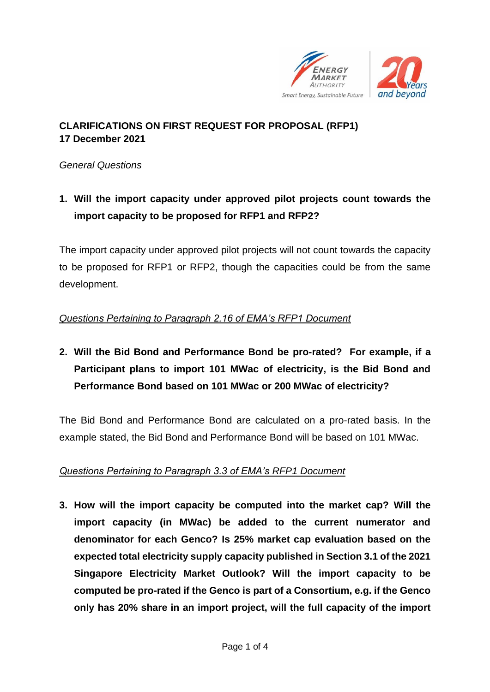

### **CLARIFICATIONS ON FIRST REQUEST FOR PROPOSAL (RFP1) 17 December 2021**

#### *General Questions*

**1. Will the import capacity under approved pilot projects count towards the import capacity to be proposed for RFP1 and RFP2?**

The import capacity under approved pilot projects will not count towards the capacity to be proposed for RFP1 or RFP2, though the capacities could be from the same development.

### *Questions Pertaining to Paragraph 2.16 of EMA's RFP1 Document*

**2. Will the Bid Bond and Performance Bond be pro-rated? For example, if a Participant plans to import 101 MWac of electricity, is the Bid Bond and Performance Bond based on 101 MWac or 200 MWac of electricity?**

The Bid Bond and Performance Bond are calculated on a pro-rated basis. In the example stated, the Bid Bond and Performance Bond will be based on 101 MWac.

#### *Questions Pertaining to Paragraph 3.3 of EMA's RFP1 Document*

**3. How will the import capacity be computed into the market cap? Will the import capacity (in MWac) be added to the current numerator and denominator for each Genco? Is 25% market cap evaluation based on the expected total electricity supply capacity published in Section 3.1 of the 2021 Singapore Electricity Market Outlook? Will the import capacity to be computed be pro-rated if the Genco is part of a Consortium, e.g. if the Genco only has 20% share in an import project, will the full capacity of the import**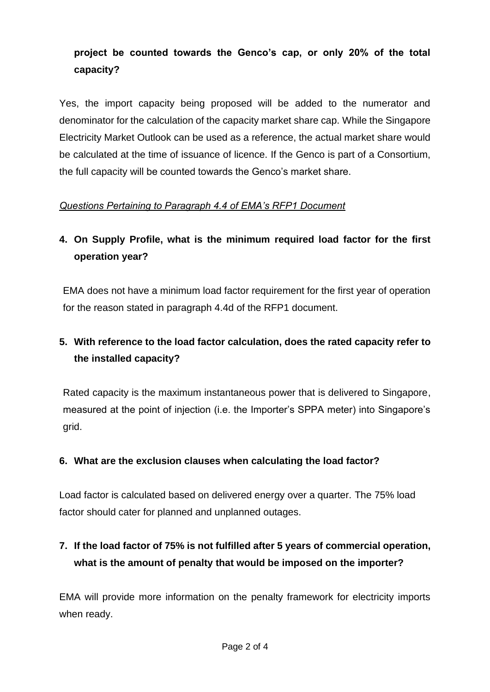### **project be counted towards the Genco's cap, or only 20% of the total capacity?**

Yes, the import capacity being proposed will be added to the numerator and denominator for the calculation of the capacity market share cap. While the Singapore Electricity Market Outlook can be used as a reference, the actual market share would be calculated at the time of issuance of licence. If the Genco is part of a Consortium, the full capacity will be counted towards the Genco's market share.

### *Questions Pertaining to Paragraph 4.4 of EMA's RFP1 Document*

# **4. On Supply Profile, what is the minimum required load factor for the first operation year?**

EMA does not have a minimum load factor requirement for the first year of operation for the reason stated in paragraph 4.4d of the RFP1 document.

# **5. With reference to the load factor calculation, does the rated capacity refer to the installed capacity?**

Rated capacity is the maximum instantaneous power that is delivered to Singapore, measured at the point of injection (i.e. the Importer's SPPA meter) into Singapore's grid.

#### **6. What are the exclusion clauses when calculating the load factor?**

Load factor is calculated based on delivered energy over a quarter. The 75% load factor should cater for planned and unplanned outages.

### **7. If the load factor of 75% is not fulfilled after 5 years of commercial operation, what is the amount of penalty that would be imposed on the importer?**

EMA will provide more information on the penalty framework for electricity imports when ready.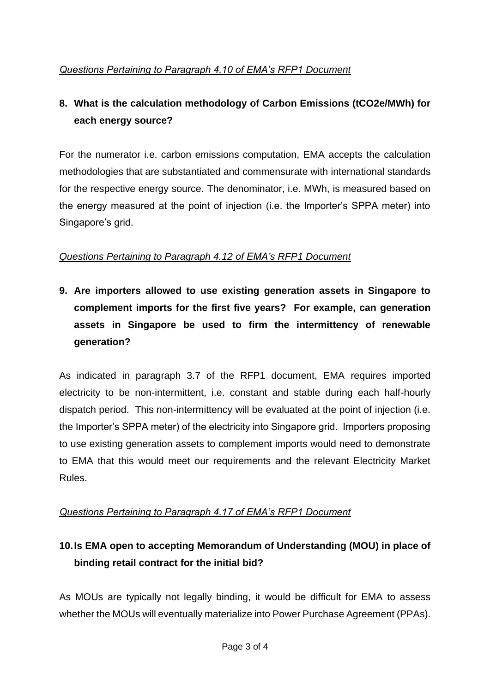# **8. What is the calculation methodology of Carbon Emissions (tCO2e/MWh) for each energy source?**

For the numerator i.e. carbon emissions computation, EMA accepts the calculation methodologies that are substantiated and commensurate with international standards for the respective energy source. The denominator, i.e. MWh, is measured based on the energy measured at the point of injection (i.e. the Importer's SPPA meter) into Singapore's grid.

### *Questions Pertaining to Paragraph 4.12 of EMA's RFP1 Document*

**9. Are importers allowed to use existing generation assets in Singapore to complement imports for the first five years? For example, can generation assets in Singapore be used to firm the intermittency of renewable generation?**

As indicated in paragraph 3.7 of the RFP1 document, EMA requires imported electricity to be non-intermittent, i.e. constant and stable during each half-hourly dispatch period. This non-intermittency will be evaluated at the point of injection (i.e. the Importer's SPPA meter) of the electricity into Singapore grid. Importers proposing to use existing generation assets to complement imports would need to demonstrate to EMA that this would meet our requirements and the relevant Electricity Market Rules.

### *Questions Pertaining to Paragraph 4.17 of EMA's RFP1 Document*

# **10.Is EMA open to accepting Memorandum of Understanding (MOU) in place of binding retail contract for the initial bid?**

As MOUs are typically not legally binding, it would be difficult for EMA to assess whether the MOUs will eventually materialize into Power Purchase Agreement (PPAs).